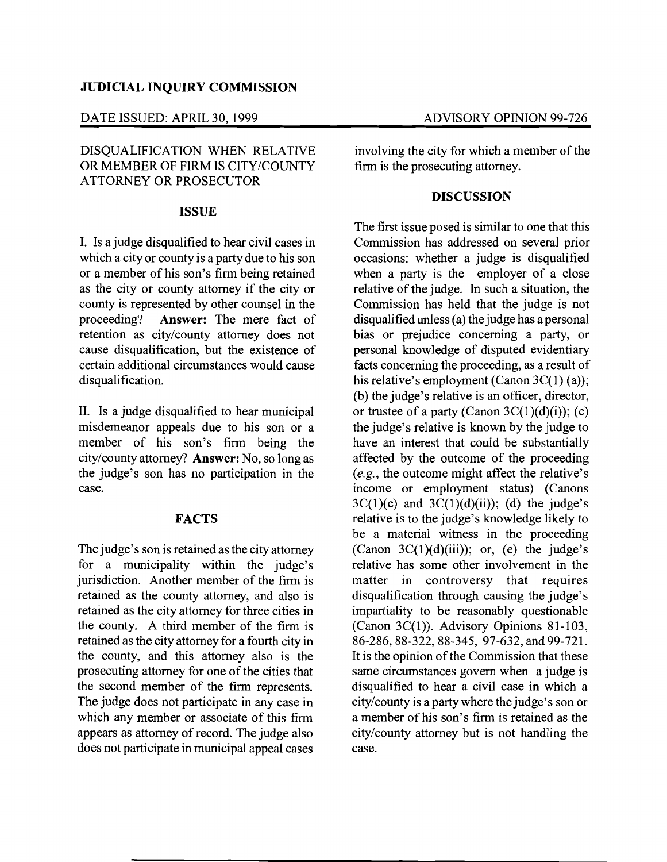## JUDICIAL INQUIRY COMMISSION

#### DATE ISSUED: APRIL 30, 1999 ADVISORY OPINION 99-726

# DISQUALIFICATION WHEN RELATIVE OR MEMBER OF FIRM IS CITY/COUNTY ATTORNEY OR PROSECUTOR

### ISSUE

I. Is a judge disqualified to hear civil cases in which a city or county is a party due to his son or a member of his son's firm being retained as the city or county attorney if the city or county is represented by other counsel in the<br>proceeding? **Answer:** The mere fact of Answer: The mere fact of retention as city/county attorney does not cause disqualification, but the existence of certain additional circumstances would cause disqualification.

II. Is a judge disqualified to hear municipal misdemeanor appeals due to his son or a member of his son's firm being the city/county attorney? Answer: No, so long as the judge's son has no participation in the case.

#### FACTS

The judge's son is retained as the city attorney for a municipality within the judge's jurisdiction. Another member of the firm is retained as the county attorney, and also is retained as the city attorney for three cities in the county. A third member of the firm is retained as the city attorney for a fourth city in the county, and this attorney also is the prosecuting attorney for one of the cities that the second member of the firm represents. The judge does not participate in any case in which any member or associate of this firm appears as attorney of record. The judge also does not participate in municipal appeal cases

involving the city for which a member of the firm is the prosecuting attorney.

#### **DISCUSSION**

The first issue posed is similar to one that this Commission has addressed on several prior occasions: whether a judge is disqualified when a party is the employer of a close relative of the judge. In such a situation, the Commission has held that the judge is not disqualified unless (a) the judge has a personal bias or prejudice concerning a party, or personal knowledge of disputed evidentiary facts concerning the proceeding, as a result of his relative's employment (Canon  $3C(1)$  (a)); (b) the judge's relative is an officer, director, or trustee of a party (Canon  $3C(1)(d)(i)$ ); (c) the judge's relative is known by the judge to have an interest that could be substantially affected by the outcome of the proceeding *(e.g.,* the outcome might affect the relative's income or employment status) (Canons  $3C(1)(c)$  and  $3C(1)(d)(ii)$ ; (d) the judge's relative is to the judge's knowledge likely to be a material witness in the proceeding (Canon  $3C(1)(d)(iii)$ ); or, (e) the judge's relative has some other involvement in the matter in controversy that requires disqualification through causing the judge's impartiality to be reasonably questionable (Canon  $3C(1)$ ). Advisory Opinions 81-103, 86-286, 88-322, 88-345, 97-632, and 99-721. It is the opinion of the Commission that these same circumstances govern when a judge is disqualified to hear a civil case in which a city/county is a party where the judge's son or a member of his son's firm is retained as the city/county attorney but is not handling the case.